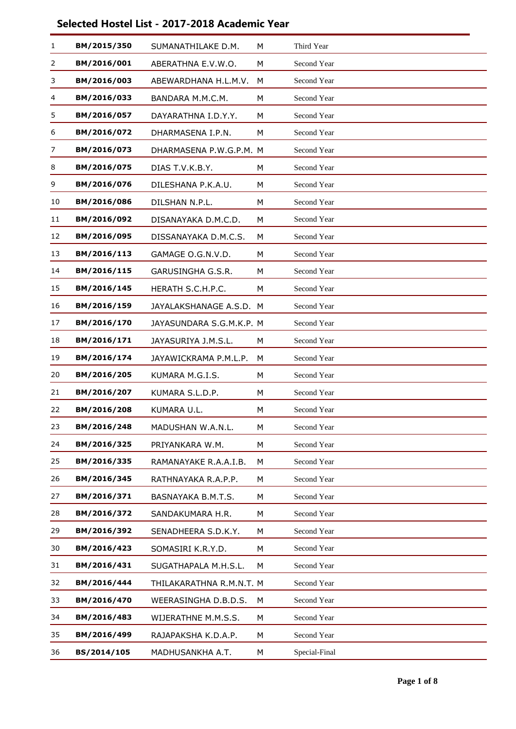| 1  | BM/2015/350 | SUMANATHILAKE D.M.       | M | Third Year    |
|----|-------------|--------------------------|---|---------------|
| 2  | BM/2016/001 | ABERATHNA E.V.W.O.       | M | Second Year   |
| 3  | BM/2016/003 | ABEWARDHANA H.L.M.V.     | M | Second Year   |
| 4  | BM/2016/033 | BANDARA M.M.C.M.         | M | Second Year   |
| 5  | BM/2016/057 | DAYARATHNA I.D.Y.Y.      | M | Second Year   |
| 6  | BM/2016/072 | DHARMASENA I.P.N.        | M | Second Year   |
| 7  | BM/2016/073 | DHARMASENA P.W.G.P.M. M  |   | Second Year   |
| 8  | BM/2016/075 | DIAS T.V.K.B.Y.          | M | Second Year   |
| 9  | BM/2016/076 | DILESHANA P.K.A.U.       | M | Second Year   |
| 10 | BM/2016/086 | DILSHAN N.P.L.           | M | Second Year   |
| 11 | BM/2016/092 | DISANAYAKA D.M.C.D.      | M | Second Year   |
| 12 | BM/2016/095 | DISSANAYAKA D.M.C.S.     | м | Second Year   |
| 13 | BM/2016/113 | GAMAGE O.G.N.V.D.        | М | Second Year   |
| 14 | BM/2016/115 | GARUSINGHA G.S.R.        | M | Second Year   |
| 15 | BM/2016/145 | HERATH S.C.H.P.C.        | M | Second Year   |
| 16 | BM/2016/159 | JAYALAKSHANAGE A.S.D.    | м | Second Year   |
| 17 | BM/2016/170 | JAYASUNDARA S.G.M.K.P. M |   | Second Year   |
| 18 | BM/2016/171 | JAYASURIYA J.M.S.L.      | м | Second Year   |
| 19 | BM/2016/174 | JAYAWICKRAMA P.M.L.P.    | M | Second Year   |
| 20 | BM/2016/205 | KUMARA M.G.I.S.          | M | Second Year   |
| 21 | BM/2016/207 | KUMARA S.L.D.P.          | M | Second Year   |
| 22 | BM/2016/208 | KUMARA U.L.              | M | Second Year   |
| 23 | BM/2016/248 | MADUSHAN W.A.N.L.        | M | Second Year   |
| 24 | BM/2016/325 | PRIYANKARA W.M.          | М | Second Year   |
| 25 | BM/2016/335 | RAMANAYAKE R.A.A.I.B.    | М | Second Year   |
| 26 | BM/2016/345 | RATHNAYAKA R.A.P.P.      | М | Second Year   |
| 27 | BM/2016/371 | BASNAYAKA B.M.T.S.       | М | Second Year   |
| 28 | BM/2016/372 | SANDAKUMARA H.R.         | M | Second Year   |
| 29 | BM/2016/392 | SENADHEERA S.D.K.Y.      | М | Second Year   |
| 30 | BM/2016/423 | SOMASIRI K.R.Y.D.        | М | Second Year   |
| 31 | BM/2016/431 | SUGATHAPALA M.H.S.L.     | М | Second Year   |
| 32 | BM/2016/444 | THILAKARATHNA R.M.N.T. M |   | Second Year   |
| 33 | BM/2016/470 | WEERASINGHA D.B.D.S.     | М | Second Year   |
| 34 | BM/2016/483 | WIJERATHNE M.M.S.S.      | М | Second Year   |
| 35 | BM/2016/499 | RAJAPAKSHA K.D.A.P.      | М | Second Year   |
| 36 | BS/2014/105 | MADHUSANKHA A.T.         | М | Special-Final |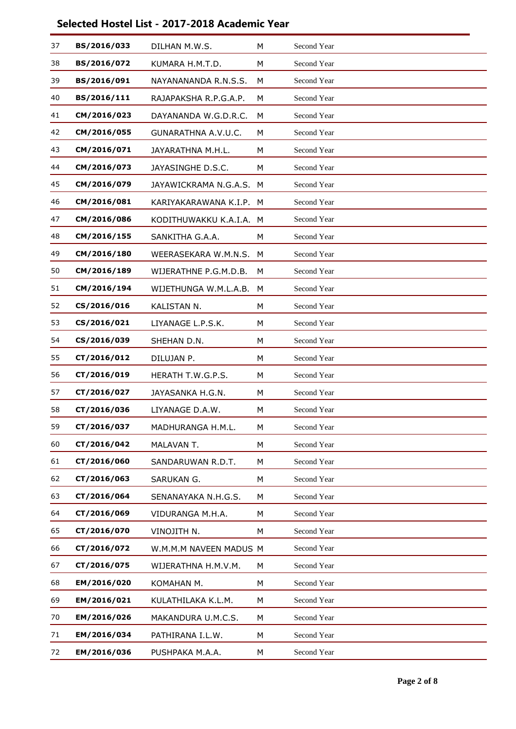| 37 | BS/2016/033 | DILHAN M.W.S.           | M | Second Year |
|----|-------------|-------------------------|---|-------------|
| 38 | BS/2016/072 | KUMARA H.M.T.D.         | М | Second Year |
| 39 | BS/2016/091 | NAYANANANDA R.N.S.S.    | м | Second Year |
| 40 | BS/2016/111 | RAJAPAKSHA R.P.G.A.P.   | М | Second Year |
| 41 | CM/2016/023 | DAYANANDA W.G.D.R.C.    | М | Second Year |
| 42 | CM/2016/055 | GUNARATHNA A.V.U.C.     | м | Second Year |
| 43 | CM/2016/071 | JAYARATHNA M.H.L.       | M | Second Year |
| 44 | CM/2016/073 | JAYASINGHE D.S.C.       | M | Second Year |
| 45 | CM/2016/079 | JAYAWICKRAMA N.G.A.S.   | M | Second Year |
| 46 | CM/2016/081 | KARIYAKARAWANA K.I.P.   | M | Second Year |
| 47 | CM/2016/086 | KODITHUWAKKU K.A.I.A. M |   | Second Year |
| 48 | CM/2016/155 | SANKITHA G.A.A.         | м | Second Year |
| 49 | CM/2016/180 | WEERASEKARA W.M.N.S.    | M | Second Year |
| 50 | CM/2016/189 | WIJERATHNE P.G.M.D.B.   | М | Second Year |
| 51 | CM/2016/194 | WIJETHUNGA W.M.L.A.B.   | м | Second Year |
| 52 | CS/2016/016 | KALISTAN N.             | M | Second Year |
| 53 | CS/2016/021 | LIYANAGE L.P.S.K.       | М | Second Year |
| 54 | CS/2016/039 | SHEHAN D.N.             | М | Second Year |
| 55 | CT/2016/012 | DILUJAN P.              | M | Second Year |
| 56 | CT/2016/019 | HERATH T.W.G.P.S.       | M | Second Year |
| 57 | CT/2016/027 | JAYASANKA H.G.N.        | М | Second Year |
| 58 | CT/2016/036 | LIYANAGE D.A.W.         | M | Second Year |
| 59 | CT/2016/037 | MADHURANGA H.M.L.       | М | Second Year |
| 60 | CT/2016/042 | MALAVAN T.              | М | Second Year |
| 61 | CT/2016/060 | SANDARUWAN R.D.T.       | М | Second Year |
| 62 | CT/2016/063 | SARUKAN G.              | М | Second Year |
| 63 | CT/2016/064 | SENANAYAKA N.H.G.S.     | М | Second Year |
| 64 | CT/2016/069 | VIDURANGA M.H.A.        | М | Second Year |
| 65 | CT/2016/070 | VINOJITH N.             | М | Second Year |
| 66 | CT/2016/072 | W.M.M.M NAVEEN MADUS M  |   | Second Year |
| 67 | CT/2016/075 | WIJERATHNA H.M.V.M.     | M | Second Year |
| 68 | EM/2016/020 | KOMAHAN M.              | М | Second Year |
| 69 | EM/2016/021 | KULATHILAKA K.L.M.      | М | Second Year |
| 70 | EM/2016/026 | MAKANDURA U.M.C.S.      | М | Second Year |
| 71 | EM/2016/034 | PATHIRANA I.L.W.        | М | Second Year |
| 72 | EM/2016/036 | PUSHPAKA M.A.A.         | М | Second Year |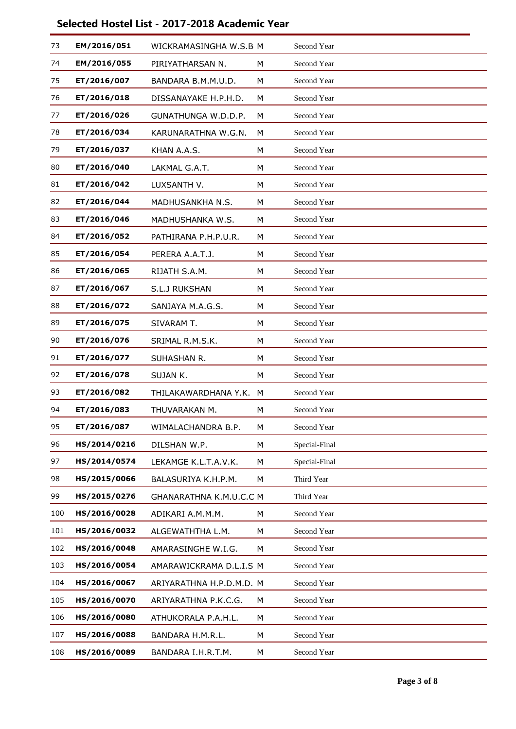| 73  | EM/2016/051  | WICKRAMASINGHA W.S.B M         |   | Second Year   |  |
|-----|--------------|--------------------------------|---|---------------|--|
| 74  | EM/2016/055  | PIRIYATHARSAN N.               | M | Second Year   |  |
| 75  | ET/2016/007  | BANDARA B.M.M.U.D.             | м | Second Year   |  |
| 76  | ET/2016/018  | DISSANAYAKE H.P.H.D.           | M | Second Year   |  |
| 77  | ET/2016/026  | GUNATHUNGA W.D.D.P.            | M | Second Year   |  |
| 78  | ET/2016/034  | KARUNARATHNA W.G.N.            | M | Second Year   |  |
| 79  | ET/2016/037  | KHAN A.A.S.                    | M | Second Year   |  |
| 80  | ET/2016/040  | LAKMAL G.A.T.                  | M | Second Year   |  |
| 81  | ET/2016/042  | LUXSANTH V.                    | M | Second Year   |  |
| 82  | ET/2016/044  | MADHUSANKHA N.S.               | M | Second Year   |  |
| 83  | ET/2016/046  | MADHUSHANKA W.S.               | M | Second Year   |  |
| 84  | ET/2016/052  | PATHIRANA P.H.P.U.R.           | м | Second Year   |  |
| 85  | ET/2016/054  | PERERA A.A.T.J.                | M | Second Year   |  |
| 86  | ET/2016/065  | RIJATH S.A.M.                  | M | Second Year   |  |
| 87  | ET/2016/067  | S.L.J RUKSHAN                  | M | Second Year   |  |
| 88  | ET/2016/072  | SANJAYA M.A.G.S.               | M | Second Year   |  |
| 89  | ET/2016/075  | SIVARAM T.                     | M | Second Year   |  |
| 90  | ET/2016/076  | SRIMAL R.M.S.K.                | м | Second Year   |  |
| 91  | ET/2016/077  | SUHASHAN R.                    | M | Second Year   |  |
| 92  | ET/2016/078  | SUJAN K.                       | M | Second Year   |  |
| 93  | ET/2016/082  | THILAKAWARDHANA Y.K.           | M | Second Year   |  |
| 94  | ET/2016/083  | THUVARAKAN M.                  | M | Second Year   |  |
| 95  | ET/2016/087  | WIMALACHANDRA B.P.             | M | Second Year   |  |
| 96  | HS/2014/0216 | DILSHAN W.P.                   | М | Special-Final |  |
| 97  | HS/2014/0574 | LEKAMGE K.L.T.A.V.K.           | М | Special-Final |  |
| 98  | HS/2015/0066 | BALASURIYA K.H.P.M.            | М | Third Year    |  |
| 99  | HS/2015/0276 | <b>GHANARATHNA K.M.U.C.C M</b> |   | Third Year    |  |
| 100 | HS/2016/0028 | ADIKARI A.M.M.M.               | M | Second Year   |  |
| 101 | HS/2016/0032 | ALGEWATHTHA L.M.               | М | Second Year   |  |
| 102 | HS/2016/0048 | AMARASINGHE W.I.G.             | М | Second Year   |  |
| 103 | HS/2016/0054 | AMARAWICKRAMA D.L.I.S M        |   | Second Year   |  |
| 104 | HS/2016/0067 | ARIYARATHNA H.P.D.M.D. M       |   | Second Year   |  |
| 105 | HS/2016/0070 | ARIYARATHNA P.K.C.G.           | M | Second Year   |  |
| 106 | HS/2016/0080 | ATHUKORALA P.A.H.L.            | М | Second Year   |  |
| 107 | HS/2016/0088 | BANDARA H.M.R.L.               | М | Second Year   |  |
| 108 | HS/2016/0089 | BANDARA I.H.R.T.M.             | М | Second Year   |  |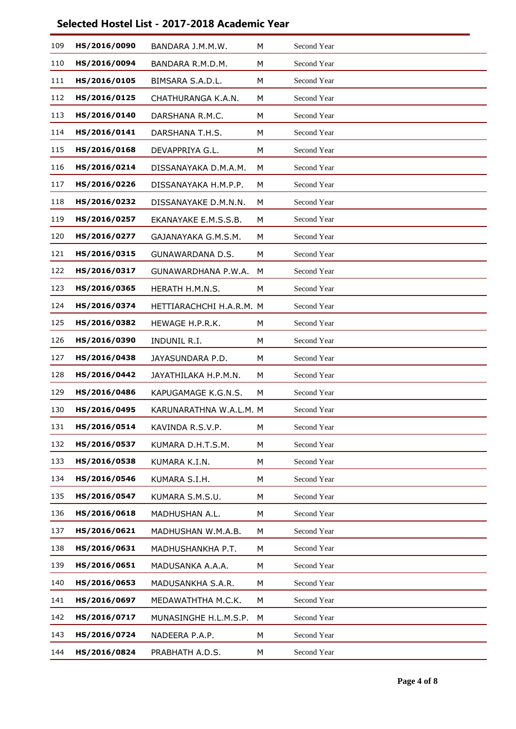| 109 | HS/2016/0090 | BANDARA J.M.M.W.         | M | Second Year |
|-----|--------------|--------------------------|---|-------------|
| 110 | HS/2016/0094 | BANDARA R.M.D.M.         | М | Second Year |
| 111 | HS/2016/0105 | BIMSARA S.A.D.L.         | м | Second Year |
| 112 | HS/2016/0125 | CHATHURANGA K.A.N.       | M | Second Year |
| 113 | HS/2016/0140 | DARSHANA R.M.C.          | М | Second Year |
| 114 | HS/2016/0141 | DARSHANA T.H.S.          | М | Second Year |
| 115 | HS/2016/0168 | DEVAPPRIYA G.L.          | M | Second Year |
| 116 | HS/2016/0214 | DISSANAYAKA D.M.A.M.     | М | Second Year |
| 117 | HS/2016/0226 | DISSANAYAKA H.M.P.P.     | м | Second Year |
| 118 | HS/2016/0232 | DISSANAYAKE D.M.N.N.     | М | Second Year |
| 119 | HS/2016/0257 | EKANAYAKE E.M.S.S.B.     | М | Second Year |
| 120 | HS/2016/0277 | GAJANAYAKA G.M.S.M.      | м | Second Year |
| 121 | HS/2016/0315 | GUNAWARDANA D.S.         | M | Second Year |
| 122 | HS/2016/0317 | GUNAWARDHANA P.W.A.      | M | Second Year |
| 123 | HS/2016/0365 | HERATH H.M.N.S.          | м | Second Year |
| 124 | HS/2016/0374 | HETTIARACHCHI H.A.R.M. M |   | Second Year |
| 125 | HS/2016/0382 | HEWAGE H.P.R.K.          | М | Second Year |
| 126 | HS/2016/0390 | INDUNIL R.I.             | м | Second Year |
| 127 | HS/2016/0438 | JAYASUNDARA P.D.         | M | Second Year |
| 128 | HS/2016/0442 | JAYATHILAKA H.P.M.N.     | М | Second Year |
| 129 | HS/2016/0486 | KAPUGAMAGE K.G.N.S.      | м | Second Year |
| 130 | HS/2016/0495 | KARUNARATHNA W.A.L.M. M  |   | Second Year |
| 131 | HS/2016/0514 | KAVINDA R.S.V.P.         | М | Second Year |
| 132 | HS/2016/0537 | KUMARA D.H.T.S.M.        | М | Second Year |
| 133 | HS/2016/0538 | KUMARA K.I.N.            | М | Second Year |
| 134 | HS/2016/0546 | KUMARA S.I.H.            | М | Second Year |
| 135 | HS/2016/0547 | KUMARA S.M.S.U.          | M | Second Year |
| 136 | HS/2016/0618 | MADHUSHAN A.L.           | M | Second Year |
| 137 | HS/2016/0621 | MADHUSHAN W.M.A.B.       | М | Second Year |
| 138 | HS/2016/0631 | MADHUSHANKHA P.T.        | М | Second Year |
| 139 | HS/2016/0651 | MADUSANKA A.A.A.         | М | Second Year |
| 140 | HS/2016/0653 | MADUSANKHA S.A.R.        | М | Second Year |
| 141 | HS/2016/0697 | MEDAWATHTHA M.C.K.       | M | Second Year |
| 142 | HS/2016/0717 | MUNASINGHE H.L.M.S.P.    | M | Second Year |
| 143 | HS/2016/0724 | NADEERA P.A.P.           | М | Second Year |
| 144 | HS/2016/0824 | PRABHATH A.D.S.          | М | Second Year |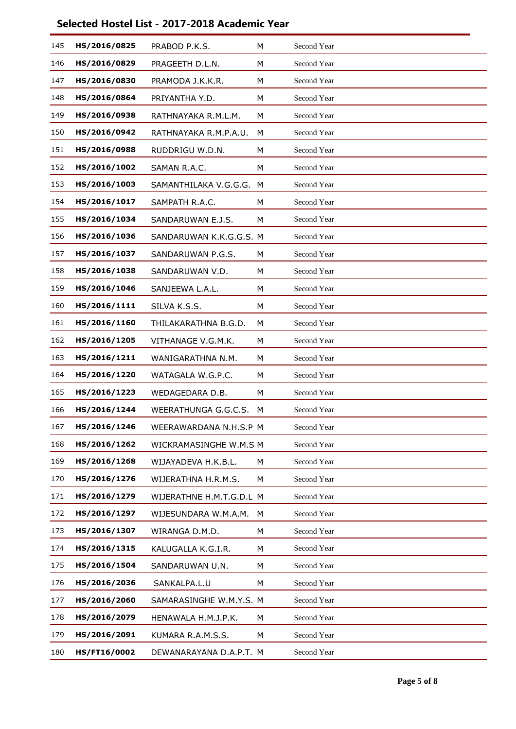| 145 | HS/2016/0825 | PRABOD P.K.S.            | M | Second Year |  |
|-----|--------------|--------------------------|---|-------------|--|
| 146 | HS/2016/0829 | PRAGEETH D.L.N.          | M | Second Year |  |
| 147 | HS/2016/0830 | PRAMODA J.K.K.R.         | M | Second Year |  |
| 148 | HS/2016/0864 | PRIYANTHA Y.D.           | M | Second Year |  |
| 149 | HS/2016/0938 | RATHNAYAKA R.M.L.M.      | M | Second Year |  |
| 150 | HS/2016/0942 | RATHNAYAKA R.M.P.A.U.    | м | Second Year |  |
| 151 | HS/2016/0988 | RUDDRIGU W.D.N.          | М | Second Year |  |
| 152 | HS/2016/1002 | SAMAN R.A.C.             | M | Second Year |  |
| 153 | HS/2016/1003 | SAMANTHILAKA V.G.G.G. M  |   | Second Year |  |
| 154 | HS/2016/1017 | SAMPATH R.A.C.           | M | Second Year |  |
| 155 | HS/2016/1034 | SANDARUWAN E.J.S.        | M | Second Year |  |
| 156 | HS/2016/1036 | SANDARUWAN K.K.G.G.S. M  |   | Second Year |  |
| 157 | HS/2016/1037 | SANDARUWAN P.G.S.        | М | Second Year |  |
| 158 | HS/2016/1038 | SANDARUWAN V.D.          | M | Second Year |  |
| 159 | HS/2016/1046 | SANJEEWA L.A.L.          | М | Second Year |  |
| 160 | HS/2016/1111 | SILVA K.S.S.             | M | Second Year |  |
| 161 | HS/2016/1160 | THILAKARATHNA B.G.D.     | M | Second Year |  |
| 162 | HS/2016/1205 | VITHANAGE V.G.M.K.       | М | Second Year |  |
| 163 | HS/2016/1211 | WANIGARATHNA N.M.        | M | Second Year |  |
| 164 | HS/2016/1220 | WATAGALA W.G.P.C.        | M | Second Year |  |
| 165 | HS/2016/1223 | WEDAGEDARA D.B.          | М | Second Year |  |
| 166 | HS/2016/1244 | WEERATHUNGA G.G.C.S.     | M | Second Year |  |
| 167 | HS/2016/1246 | WEERAWARDANA N.H.S.P M   |   | Second Year |  |
| 168 | HS/2016/1262 | WICKRAMASINGHE W.M.S M   |   | Second Year |  |
| 169 | HS/2016/1268 | WIJAYADEVA H.K.B.L.      | M | Second Year |  |
| 170 | HS/2016/1276 | WIJERATHNA H.R.M.S.      | M | Second Year |  |
| 171 | HS/2016/1279 | WIJERATHNE H.M.T.G.D.L M |   | Second Year |  |
| 172 | HS/2016/1297 | WIJESUNDARA W.M.A.M.     | M | Second Year |  |
| 173 | HS/2016/1307 | WIRANGA D.M.D.           | М | Second Year |  |
| 174 | HS/2016/1315 | KALUGALLA K.G.I.R.       | М | Second Year |  |
| 175 | HS/2016/1504 | SANDARUWAN U.N.          | M | Second Year |  |
| 176 | HS/2016/2036 | SANKALPA.L.U             | M | Second Year |  |
| 177 | HS/2016/2060 | SAMARASINGHE W.M.Y.S. M  |   | Second Year |  |
| 178 | HS/2016/2079 | HENAWALA H.M.J.P.K.      | M | Second Year |  |
| 179 | HS/2016/2091 | KUMARA R.A.M.S.S.        | M | Second Year |  |
| 180 | HS/FT16/0002 | DEWANARAYANA D.A.P.T. M  |   | Second Year |  |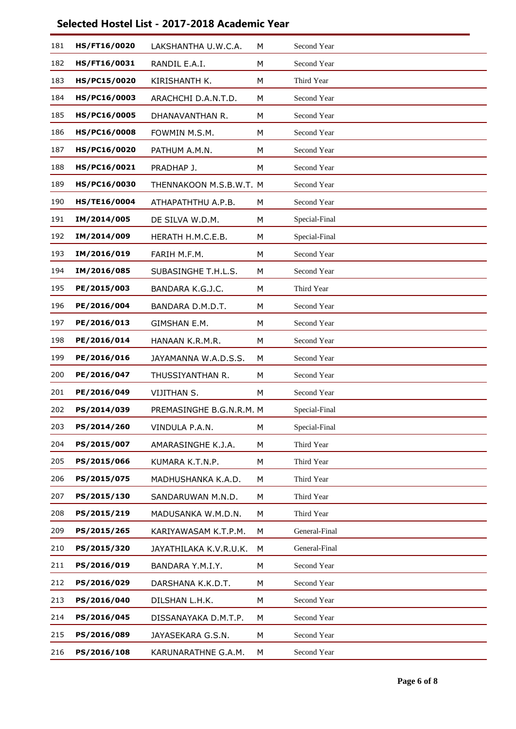| 181 | HS/FT16/0020 | LAKSHANTHA U.W.C.A.      | M | Second Year   |
|-----|--------------|--------------------------|---|---------------|
| 182 | HS/FT16/0031 | RANDIL E.A.I.            | М | Second Year   |
| 183 | HS/PC15/0020 | KIRISHANTH K.            | M | Third Year    |
| 184 | HS/PC16/0003 | ARACHCHI D.A.N.T.D.      | М | Second Year   |
| 185 | HS/PC16/0005 | DHANAVANTHAN R.          | М | Second Year   |
| 186 | HS/PC16/0008 | FOWMIN M.S.M.            | М | Second Year   |
| 187 | HS/PC16/0020 | PATHUM A.M.N.            | М | Second Year   |
| 188 | HS/PC16/0021 | PRADHAP J.               | М | Second Year   |
| 189 | HS/PC16/0030 | THENNAKOON M.S.B.W.T. M  |   | Second Year   |
| 190 | HS/TE16/0004 | ATHAPATHTHU A.P.B.       | М | Second Year   |
| 191 | IM/2014/005  | DE SILVA W.D.M.          | М | Special-Final |
| 192 | IM/2014/009  | HERATH H.M.C.E.B.        | М | Special-Final |
| 193 | IM/2016/019  | FARIH M.F.M.             | M | Second Year   |
| 194 | IM/2016/085  | SUBASINGHE T.H.L.S.      | М | Second Year   |
| 195 | PE/2015/003  | BANDARA K.G.J.C.         | М | Third Year    |
| 196 | PE/2016/004  | BANDARA D.M.D.T.         | М | Second Year   |
| 197 | PE/2016/013  | GIMSHAN E.M.             | М | Second Year   |
| 198 | PE/2016/014  | HANAAN K.R.M.R.          | М | Second Year   |
| 199 | PE/2016/016  | JAYAMANNA W.A.D.S.S.     | М | Second Year   |
| 200 | PE/2016/047  | THUSSIYANTHAN R.         | М | Second Year   |
| 201 | PE/2016/049  | VIJITHAN S.              | M | Second Year   |
| 202 | PS/2014/039  | PREMASINGHE B.G.N.R.M. M |   | Special-Final |
| 203 | PS/2014/260  | VINDULA P.A.N.           | М | Special-Final |
| 204 | PS/2015/007  | AMARASINGHE K.J.A.       | М | Third Year    |
| 205 | PS/2015/066  | KUMARA K.T.N.P.          | М | Third Year    |
| 206 | PS/2015/075  | MADHUSHANKA K.A.D.       | М | Third Year    |
| 207 | PS/2015/130  | SANDARUWAN M.N.D.        | М | Third Year    |
| 208 | PS/2015/219  | MADUSANKA W.M.D.N.       | M | Third Year    |
| 209 | PS/2015/265  | KARIYAWASAM K.T.P.M.     | M | General-Final |
| 210 | PS/2015/320  | JAYATHILAKA K.V.R.U.K.   | М | General-Final |
| 211 | PS/2016/019  | BANDARA Y.M.I.Y.         | М | Second Year   |
| 212 | PS/2016/029  | DARSHANA K.K.D.T.        | М | Second Year   |
| 213 | PS/2016/040  | DILSHAN L.H.K.           | М | Second Year   |
| 214 | PS/2016/045  | DISSANAYAKA D.M.T.P.     | M | Second Year   |
| 215 | PS/2016/089  | JAYASEKARA G.S.N.        | М | Second Year   |
| 216 | PS/2016/108  | KARUNARATHNE G.A.M.      | М | Second Year   |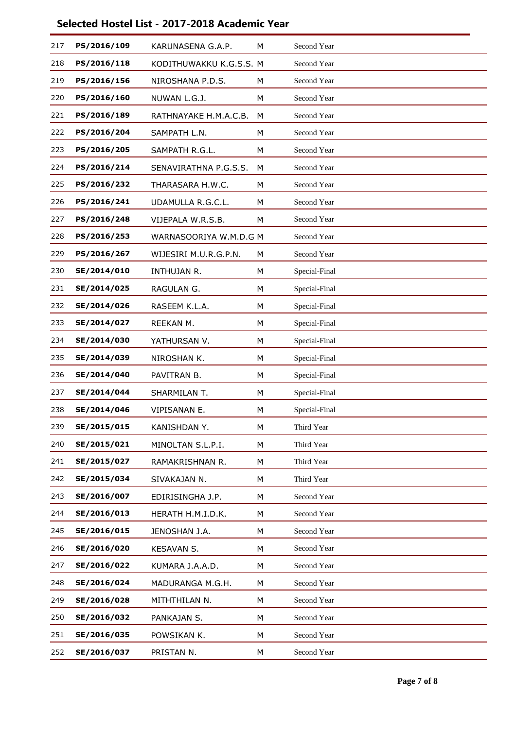| 217 | PS/2016/109 | KARUNASENA G.A.P.       | M | Second Year   |
|-----|-------------|-------------------------|---|---------------|
| 218 | PS/2016/118 | KODITHUWAKKU K.G.S.S. M |   | Second Year   |
| 219 | PS/2016/156 | NIROSHANA P.D.S.        | M | Second Year   |
| 220 | PS/2016/160 | NUWAN L.G.J.            | М | Second Year   |
| 221 | PS/2016/189 | RATHNAYAKE H.M.A.C.B.   | M | Second Year   |
| 222 | PS/2016/204 | SAMPATH L.N.            | M | Second Year   |
| 223 | PS/2016/205 | SAMPATH R.G.L.          | М | Second Year   |
| 224 | PS/2016/214 | SENAVIRATHNA P.G.S.S.   | M | Second Year   |
| 225 | PS/2016/232 | THARASARA H.W.C.        | м | Second Year   |
| 226 | PS/2016/241 | UDAMULLA R.G.C.L.       | М | Second Year   |
| 227 | PS/2016/248 | VIJEPALA W.R.S.B.       | М | Second Year   |
| 228 | PS/2016/253 | WARNASOORIYA W.M.D.G M  |   | Second Year   |
| 229 | PS/2016/267 | WIJESIRI M.U.R.G.P.N.   | М | Second Year   |
| 230 | SE/2014/010 | INTHUJAN R.             | M | Special-Final |
| 231 | SE/2014/025 | RAGULAN G.              | М | Special-Final |
| 232 | SE/2014/026 | RASEEM K.L.A.           | М | Special-Final |
| 233 | SE/2014/027 | REEKAN M.               | M | Special-Final |
| 234 | SE/2014/030 | YATHURSAN V.            | М | Special-Final |
| 235 | SE/2014/039 | NIROSHAN K.             | М | Special-Final |
| 236 | SE/2014/040 | PAVITRAN B.             | M | Special-Final |
| 237 | SE/2014/044 | SHARMILAN T.            | М | Special-Final |
| 238 | SE/2014/046 | VIPISANAN E.            | М | Special-Final |
| 239 | SE/2015/015 | KANISHDAN Y.            | М | Third Year    |
| 240 | SE/2015/021 | MINOLTAN S.L.P.I.       | М | Third Year    |
| 241 | SE/2015/027 | RAMAKRISHNAN R.         | М | Third Year    |
| 242 | SE/2015/034 | SIVAKAJAN N.            | М | Third Year    |
| 243 | SE/2016/007 | EDIRISINGHA J.P.        | М | Second Year   |
| 244 | SE/2016/013 | HERATH H.M.I.D.K.       | M | Second Year   |
| 245 | SE/2016/015 | JENOSHAN J.A.           | М | Second Year   |
| 246 | SE/2016/020 | KESAVAN S.              | М | Second Year   |
| 247 | SE/2016/022 | KUMARA J.A.A.D.         | M | Second Year   |
| 248 | SE/2016/024 | MADURANGA M.G.H.        | М | Second Year   |
| 249 | SE/2016/028 | MITHTHILAN N.           | М | Second Year   |
| 250 | SE/2016/032 | PANKAJAN S.             | M | Second Year   |
| 251 | SE/2016/035 | POWSIKAN K.             | М | Second Year   |
| 252 | SE/2016/037 | PRISTAN N.              | М | Second Year   |